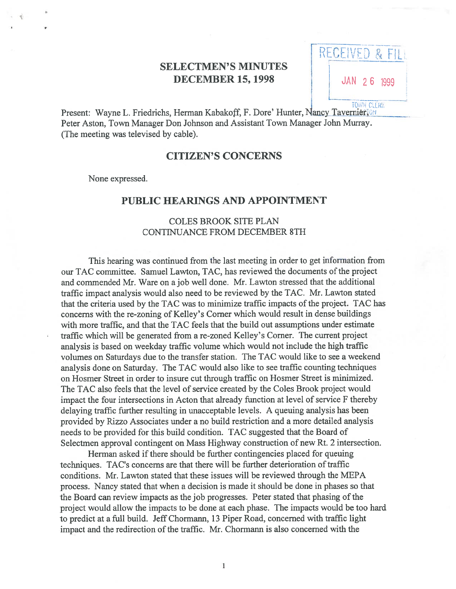# SELECTMEN'S MINUTES **DECEMBER 15, 1998** JAN 26 1999

: LUEIVEU & FIL SELECTMEN'S MINUTES<br>DECEMBER 15, 1998<br>Present: Wayne L. Friedrichs, Herman Kabakoff, F. Dore' Hunter, Nancy Tavernier<sub>10</sub><sup>H</sup>

Peter Aston, Town Manager Don Johnson and Assistant Town Manager John Murray. (The meeting was televised by cable).

### CITIZEN'S CONCERNS

None expressed.

#### PUBLIC HEARINGS AND APPOINTMENT

# COLES BROOK SITE PLAN CONTINUANCE FROM DECEMBER 8TH

This hearing was continued from the last meeting in order to ge<sup>t</sup> information from our TAC committee. Samuel Lawton, TAC, has reviewed the documents of the project and commended Mr. Ware on ajob well done. Mr. Lawton stressed that the additional traffic impact analysis would also need to be reviewed by the TAC. Mr. Lawton stated that the criteria used by the TAC was to minimize traffic impacts of the project. TAC has concerns with the re-zoning of Kelley's Corner which would result in dense buildings with more traffic, and that the TAC feels that the build out assumptions under estimate traffic which will be generated from <sup>a</sup> re-zoned Kelley's Corner. The current project analysis is based on weekday traffic volume which would not include the high traffic volumes on Saturdays due to the transfer station. The TAC would like to see <sup>a</sup> weekend analysis done on Saturday. The TAC would also like to see traffic counting techniques on Hosmer Street in order to insure cut through traffic on Hosmer Street is minimized. The TAC also feels that the level of service created by the Coles Brook project would impact the four intersections in Acton that already function at level of service <sup>F</sup> thereby delaying traffic further resulting in unacceptable levels. A queuing analysis has been provided by Rizzo Associates under <sup>a</sup> no build restriction and <sup>a</sup> more detailed analysis needs to be provided for this build condition. TAC suggested that the Board of Selectmen approval contingent on Mass Highway construction of new Rt. 2 intersection.

Herman asked if there should be further contingencies placed for queuing techniques. TAC's concerns are that there will be further deterioration of traffic conditions. Mr. Lawton stated that these issues will be reviewed through the MEPA process. Nancy stated that when <sup>a</sup> decision is made it should be done in phases so that the Board can review impacts as the job progresses. Peter stated that phasing of the project would allow the impacts to be done at each phase. The impacts would be too hard to predict at <sup>a</sup> full build. Jeff Chormann, 13 Piper Road, concerned with traffic light impact and the redirection of the traffic. Mr. Chormann is also concerned with the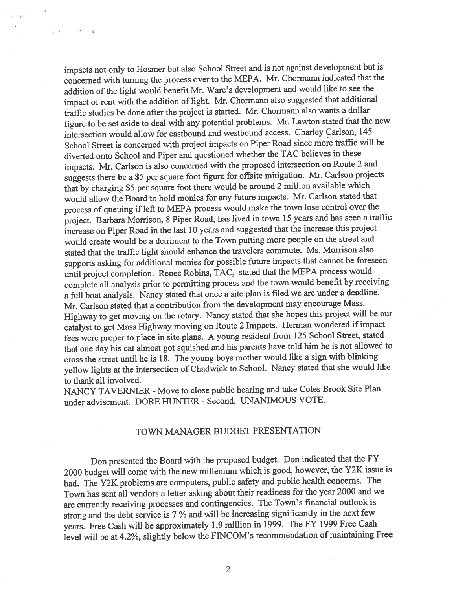impacts not only to Hosmer but also School Street and is not against development but is concerned with turning the process over to the MEPA. Mr. Chormann indicated that the addition of the light would benefit Mr. Ware's development and would like to see the impact of rent with the addition of light. Mr. Chormann also suggested that additional traffic studies be done after the project is started. Mr. Chormann also wants <sup>a</sup> dollar figure to be set aside to deal with any potential problems. Mr. Lawton stated that the new intersection would allow for eastbound and westbound access. Charley Carison, <sup>145</sup> School Street is concerned with project impacts on Piper Road since more traffic will be diverted onto School and Piper and questioned whether the TAC believes in these impacts. Mr. Carison is also concerned with the propose<sup>d</sup> intersection on Route 2 and suggests there be <sup>a</sup> \$5 per square foot figure for offsite mitigation. Mr. Carison projects that by charging \$5 per square foot there would be around 2 million available which would allow the Board to hold monies for any future impacts. Mr. Carlson stated that process of queuing ifleft to MEPA process would make the town lose control over the project. Barbara Morrison, <sup>8</sup> Piper Road, has lived in town <sup>15</sup> years and has seen <sup>a</sup> traffic increase on Piper Road in the last <sup>10</sup> years and suggested that the increase this project would create would be <sup>a</sup> detriment to the Town putting more people on the street and stated that the traffic light should enhance the travelers commute. Ms. Morrison also supports asking for additional monies for possible future impacts that cannot be foreseen until project completion. Renee Robins, TAC, stated that the MEPA process would complete all analysis prior to permitting process and the town would benefit by receiving <sup>a</sup> full boat analysis. Nancy stated that once <sup>a</sup> site <sup>p</sup>lan is filed we are under <sup>a</sup> deadline. Mr. Carison stated that <sup>a</sup> contribution from the development may encourage Mass. Highway to ge<sup>t</sup> moving on the rotary. Nancy stated that she hopes this project will be our catalyst to ge<sup>t</sup> Mass Highway moving on Route <sup>2</sup> Impacts. Herman wondered if impact fees were proper to <sup>p</sup>lace in site <sup>p</sup>lans. <sup>A</sup> young resident from <sup>125</sup> School Street, stated that one day his cat almost go<sup>t</sup> squished and his parents have told him he is not allowed to cross the street until he is 18. The young boys mother would like <sup>a</sup> sign with blinking yellow lights at the intersection of Chadwick to School. Nancy stated that she would like to thank all involved.

 $q$ 

 $\mathbf{A}$   $\mathbf{A}$   $\mathbf{A}$ 

NANCY TAVERNIER - Move to close public hearing and take Coles Brook Site Plan under advisement. DORE HUNTER - Second. UNANIMOUS VOTE.

# TOWN MANAGER BUDGET PRESENTATION

Don presented the Board with the propose<sup>d</sup> budget. Don indicated that the FY <sup>2000</sup> budget will come with the new millenium which is good, however, the Y2K issue is bad. The Y2K problems are computers, public safety and public health concerns. The Town has sent all vendors <sup>a</sup> letter asking about their readiness for the year <sup>2000</sup> and we are currently receiving processes and contingencies. The Town's financial outlook is strong and the debt service is <sup>7</sup> % and will be increasing significantly in the next few years. Free Cash will be approximately 1.9 million in 1999. The FY <sup>1999</sup> Free Cash level will be at 4.2%, slightly below the F1NCOM's recommendation of maintaining free

2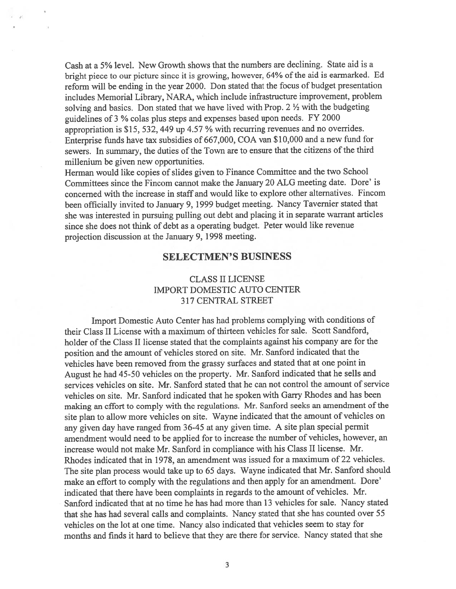Cash at <sup>a</sup> 5% level. New Growth shows that the numbers are declining. State aid is <sup>a</sup> bright piece to our picture since it is growing, however, 64% of the aid is earmarked. Ed reform will be ending in the year 2000. Don stated that the focus of budget presentation includes Memorial Library, NARA, which include infrastructure improvement, problem solving and basics. Don stated that we have lived with Prop.  $2 \frac{1}{2}$  with the budgeting guidelines of <sup>3</sup> % colas <sup>p</sup>lus steps and expenses based upon needs. FY <sup>2000</sup> appropriation is \$15, 532, <sup>449</sup> up 4.57 % with recurring revenues and no overrides. Enterprise funds have tax subsidies of 667,000, COA van \$10,000 and <sup>a</sup> new fund for sewers. In summary, the duties of the Town are to ensure that the citizens of the third millenium be given new opportunities.

Herman would like copies of slides <sup>g</sup>iven to Finance Committee and the two School Committees since the Fincom cannot make the January 20 ALG meeting date. Dore' is concerned with the increase in staff and would like to explore other alternatives. Fincom been officially invited to January 9, <sup>1999</sup> budget meeting. Nancy Tavernier stated that she was interested in pursuing pulling out debt and <sup>p</sup>lacing it in separate warrant articles since she does not think of debt as <sup>a</sup> operating budget. Peter would like revenue projection discussion at the January 9, 1998 meeting.

#### SELECTMEN'S BUSINESS

# CLASS II LICENSE IMPORT DOMESTIC AUTO CENTER 317 CENTRAL STREET

Import Domestic Auto Center has had problems complying with conditions of their Class II License with a maximum of thirteen vehicles for sale. Scott Sandford, holder of the Class II license stated that the complaints against his company are for the position and the amount of vehicles stored on site. Mr. Sanford indicated that the vehicles have been removed from the grassy surfaces and stated that at one point in August he had 45-50 vehicles on the property. Mr. Sanford indicated that he sells and services vehicles on site. Mr. Sanford stated that he can not control the amount of service vehicles on site. Mr. Sanford indicated that he spoken with Garry Rhodes and has been making an effort to comply with the regulations. Mr. Sanford seeks an amendment of the site <sup>p</sup>lan to allow more vehicles on site. Wayne indicated that the amount of vehicles on any <sup>g</sup>iven day have range<sup>d</sup> from 36-45 at any <sup>g</sup>iven time. <sup>A</sup> site <sup>p</sup>lan special permit amendment would need to be applied for to increase the number of vehicles, however, an increase would not make Mr. Sanford in compliance with his Class II license. Mr. Rhodes indicated that in 1978, an amendment was issued for <sup>a</sup> maximum of 22 vehicles. The site <sup>p</sup>lan process would take up to <sup>65</sup> days. Wayne indicated that Mr. Sanford should make an effort to comply with the regulations and then apply for an amendment. Dore' indicated that there have been complaints in regards to the amount of vehicles. Mr. Sanford indicated that at no time he has had more than 13 vehicles for sale. Nancy stated that she has had several calls and complaints. Nancy stated that she has counted over 55 vehicles on the lot at one time. Nancy also indicated that vehicles seem to stay for months and finds it hard to believe that they are there for service. Nancy stated that she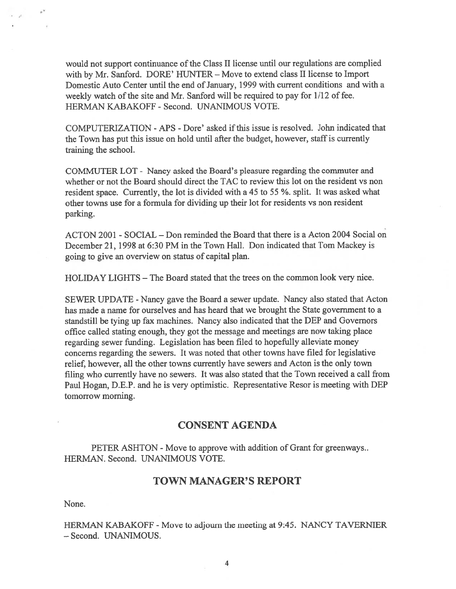would not suppor<sup>t</sup> continuance of the Class II license until our regulations are complied with by Mr. Sanford. DORE' HUNTER — Move to extend class II license to Import Domestic Auto Center until the end of January, 1999 with current conditions and with a weekly watch of the site and Mr. Sanford will be required to pay for 1/12 of fee. HERMAN KABAKOFF - Second. UNANIMOUS VOTE.

COMPUTERIZATION -APS -Dore' asked ifthis issue is resolved. John indicated that the Town has pu<sup>t</sup> this issue on hold until after the budget, however, staff is currently training the school.

COMMUTER LOT - Nancy asked the Board's pleasure regarding the commuter and whether or not the Board should direct the TAC to review this lot on the resident vs non resident space. Currently, the lot is divided with <sup>a</sup> <sup>45</sup> to <sup>55</sup> %. split. It was asked what other towns use for <sup>a</sup> formula for dividing up their lot for residents vs non resident parking.

ACTON 2001 - SOCIAL — Don reminded the Board that there is <sup>a</sup> Acton 2004 Social on December 21, 1998 at 6:30 PM in the Town Hall. Don indicated that Tom Mackey is going to give an overview on status of capital plan.

HOLIDAY LIGHTS — The Board stated that the trees on the common look very nice.

SEWER UPDATE -Nancy gave the Board <sup>a</sup> sewer update. Nancy also stated that Acton has made <sup>a</sup> name for ourselves and has heard that we brought the State governmen<sup>t</sup> to <sup>a</sup> standstill be tying up fax machines. Nancy also indicated that the DEP and Governors office called stating enough, they go<sup>t</sup> the message and meetings are now taking place regarding sewer funding. Legislation has been filed to hopefully alleviate money concerns regarding the sewers. It was noted that other towns have filed for legislative relief, however, all the other towns currently have sewers and Acton is the only town filing who currently have no sewers. It was also stated that the Town received <sup>a</sup> call from Paul Hogan, D.E.P. and he is very optimistic. Representative Resor is meeting with DEP tomorrow morning.

## CONSENT AGENDA

PETER ASHTON - Move to approve with addition of Grant for greenways.. HERMAN. Second. UNANIMOUS VOTE.

#### TOWN MANAGER'S REPORT

None.

HERMAN KABAKOFF - Move to adjourn the meeting at 9:45. NANCY TAVERNIER — Second. UNANIMOUS.